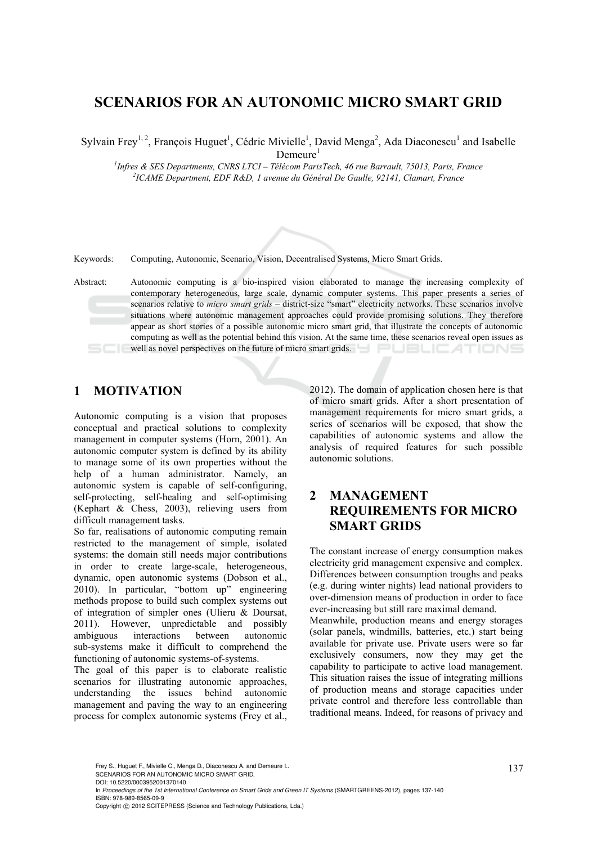# **SCENARIOS FOR AN AUTONOMIC MICRO SMART GRID**

Sylvain Frey<sup>1, 2</sup>, François Huguet<sup>1</sup>, Cédric Mivielle<sup>1</sup>, David Menga<sup>2</sup>, Ada Diaconescu<sup>1</sup> and Isabelle

 $D$ emeure<sup>1</sup>

*1 Infres & SES Departments, CNRS LTCI – Télécom ParisTech, 46 rue Barrault, 75013, Paris, France 2 ICAME Department, EDF R&D, 1 avenue du Général De Gaulle, 92141, Clamart, France* 



Keywords: Computing, Autonomic, Scenario, Vision, Decentralised Systems, Micro Smart Grids.

Abstract: Autonomic computing is a bio-inspired vision elaborated to manage the increasing complexity of contemporary heterogeneous, large scale, dynamic computer systems. This paper presents a series of scenarios relative to *micro smart grids* – district-size "smart" electricity networks. These scenarios involve situations where autonomic management approaches could provide promising solutions. They therefore appear as short stories of a possible autonomic micro smart grid, that illustrate the concepts of autonomic computing as well as the potential behind this vision. At the same time, these scenarios reveal open issues as well as novel perspectives on the future of micro smart grids. UBLICATIONS

# **1 MOTIVATION**

Autonomic computing is a vision that proposes conceptual and practical solutions to complexity management in computer systems (Horn, 2001). An autonomic computer system is defined by its ability to manage some of its own properties without the help of a human administrator. Namely, an autonomic system is capable of self-configuring, self-protecting, self-healing and self-optimising (Kephart & Chess, 2003), relieving users from difficult management tasks.

So far, realisations of autonomic computing remain restricted to the management of simple, isolated systems: the domain still needs major contributions in order to create large-scale, heterogeneous, dynamic, open autonomic systems (Dobson et al., 2010). In particular, "bottom up" engineering methods propose to build such complex systems out of integration of simpler ones (Ulieru & Doursat, 2011). However, unpredictable and possibly ambiguous interactions between autonomic sub-systems make it difficult to comprehend the functioning of autonomic systems-of-systems.

The goal of this paper is to elaborate realistic scenarios for illustrating autonomic approaches, understanding the issues behind autonomic management and paving the way to an engineering process for complex autonomic systems (Frey et al.,

2012). The domain of application chosen here is that of micro smart grids. After a short presentation of management requirements for micro smart grids, a series of scenarios will be exposed, that show the capabilities of autonomic systems and allow the analysis of required features for such possible autonomic solutions.

## **2 MANAGEMENT REQUIREMENTS FOR MICRO SMART GRIDS**

The constant increase of energy consumption makes electricity grid management expensive and complex. Differences between consumption troughs and peaks (e.g. during winter nights) lead national providers to over-dimension means of production in order to face ever-increasing but still rare maximal demand.

Meanwhile, production means and energy storages (solar panels, windmills, batteries, etc.) start being available for private use. Private users were so far exclusively consumers, now they may get the capability to participate to active load management. This situation raises the issue of integrating millions of production means and storage capacities under private control and therefore less controllable than traditional means. Indeed, for reasons of privacy and

Frey S., Huguet F., Mivielle C., Menga D., Diaconescu A. and Demeure I..<br>SCENARIOS FOR AN AUTONOMIC MICRO SMART GRID.

DOI: 10.5220/0003952001370140

In *Proceedings of the 1st International Conference on Smart Grids and Green IT Systems* (SMARTGREENS-2012), pages 137-140 ISBN: 978-989-8565-09-9

Copyright © 2012 SCITEPRESS (Science and Technology Publications, Lda.)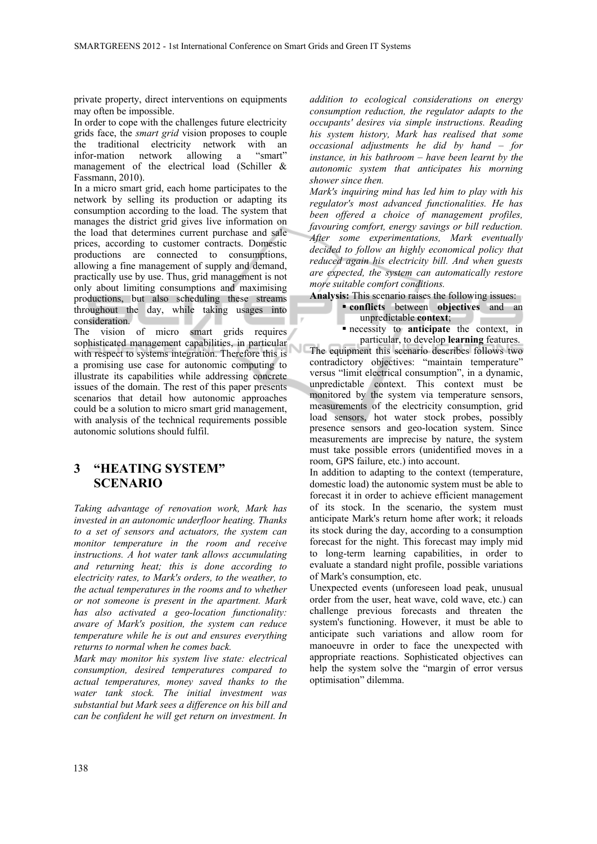private property, direct interventions on equipments may often be impossible.

In order to cope with the challenges future electricity grids face, the *smart grid* vision proposes to couple the traditional electricity network with an infor-mation network allowing a "smart" management of the electrical load (Schiller & Fassmann, 2010).

In a micro smart grid, each home participates to the network by selling its production or adapting its consumption according to the load. The system that manages the district grid gives live information on the load that determines current purchase and sale prices, according to customer contracts. Domestic productions are connected to consumptions, allowing a fine management of supply and demand, practically use by use. Thus, grid management is not only about limiting consumptions and maximising productions, but also scheduling these streams throughout the day, while taking usages into consideration.

The vision of micro smart grids requires sophisticated management capabilities, in particular with respect to systems integration. Therefore this is a promising use case for autonomic computing to illustrate its capabilities while addressing concrete issues of the domain. The rest of this paper presents scenarios that detail how autonomic approaches could be a solution to micro smart grid management, with analysis of the technical requirements possible autonomic solutions should fulfil.

### **3 "HEATING SYSTEM" SCENARIO**

*Taking advantage of renovation work, Mark has invested in an autonomic underfloor heating. Thanks to a set of sensors and actuators, the system can monitor temperature in the room and receive instructions. A hot water tank allows accumulating and returning heat; this is done according to electricity rates, to Mark's orders, to the weather, to the actual temperatures in the rooms and to whether or not someone is present in the apartment. Mark has also activated a geo-location functionality: aware of Mark's position, the system can reduce temperature while he is out and ensures everything returns to normal when he comes back.*

*Mark may monitor his system live state: electrical consumption, desired temperatures compared to actual temperatures, money saved thanks to the water tank stock. The initial investment was substantial but Mark sees a difference on his bill and can be confident he will get return on investment. In*  *addition to ecological considerations on energy consumption reduction, the regulator adapts to the occupants' desires via simple instructions. Reading his system history, Mark has realised that some occasional adjustments he did by hand – for instance, in his bathroom – have been learnt by the autonomic system that anticipates his morning shower since then.*

*Mark's inquiring mind has led him to play with his regulator's most advanced functionalities. He has been offered a choice of management profiles, favouring comfort, energy savings or bill reduction. After some experimentations, Mark eventually decided to follow an highly economical policy that reduced again his electricity bill. And when guests are expected, the system can automatically restore more suitable comfort conditions.*

**Analysis:** This scenario raises the following issues: **conflicts** between **objectives** and an unpredictable **context**;

 necessity to **anticipate** the context, in particular, to develop **learning** features.

The equipment this scenario describes follows two contradictory objectives: "maintain temperature" versus "limit electrical consumption", in a dynamic, unpredictable context. This context must be monitored by the system via temperature sensors, measurements of the electricity consumption, grid load sensors, hot water stock probes, possibly presence sensors and geo-location system. Since measurements are imprecise by nature, the system must take possible errors (unidentified moves in a room, GPS failure, etc.) into account.

In addition to adapting to the context (temperature, domestic load) the autonomic system must be able to forecast it in order to achieve efficient management of its stock. In the scenario, the system must anticipate Mark's return home after work; it reloads its stock during the day, according to a consumption forecast for the night. This forecast may imply mid to long-term learning capabilities, in order to evaluate a standard night profile, possible variations of Mark's consumption, etc.

Unexpected events (unforeseen load peak, unusual order from the user, heat wave, cold wave, etc.) can challenge previous forecasts and threaten the system's functioning. However, it must be able to anticipate such variations and allow room for manoeuvre in order to face the unexpected with appropriate reactions. Sophisticated objectives can help the system solve the "margin of error versus optimisation" dilemma.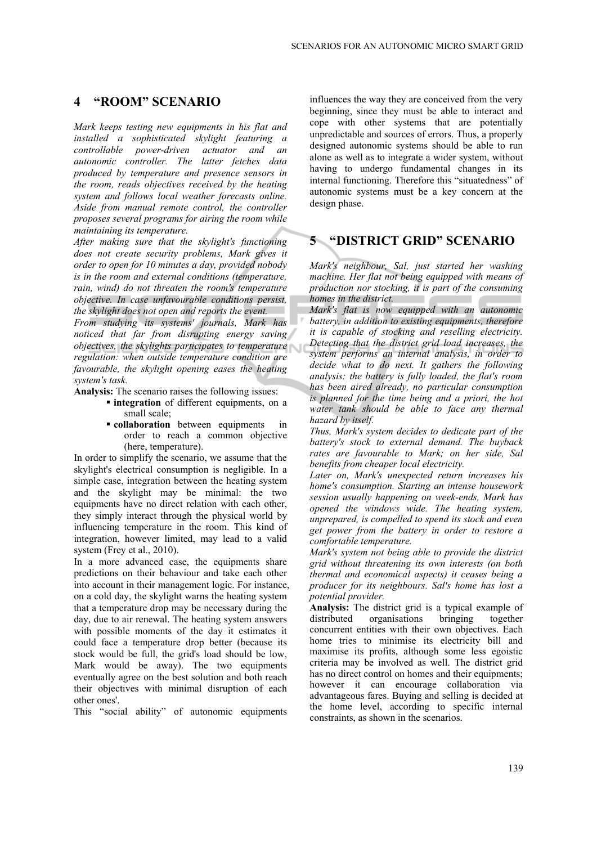#### **4 "ROOM" SCENARIO**

*Mark keeps testing new equipments in his flat and installed a sophisticated skylight featuring a controllable power-driven actuator and an autonomic controller. The latter fetches data produced by temperature and presence sensors in the room, reads objectives received by the heating system and follows local weather forecasts online. Aside from manual remote control, the controller proposes several programs for airing the room while maintaining its temperature.*

*After making sure that the skylight's functioning does not create security problems, Mark gives it order to open for 10 minutes a day, provided nobody is in the room and external conditions (temperature, rain, wind) do not threaten the room's temperature objective. In case unfavourable conditions persist, the skylight does not open and reports the event.*

*From studying its systems' journals, Mark has noticed that far from disrupting energy saving objectives, the skylights participates to temperature regulation: when outside temperature condition are favourable, the skylight opening eases the heating system's task.*

**Analysis:** The scenario raises the following issues:

- **integration** of different equipments, on a small scale;
- **collaboration** between equipments in order to reach a common objective (here, temperature).

In order to simplify the scenario, we assume that the skylight's electrical consumption is negligible. In a simple case, integration between the heating system and the skylight may be minimal: the two equipments have no direct relation with each other, they simply interact through the physical world by influencing temperature in the room. This kind of integration, however limited, may lead to a valid system (Frey et al., 2010).

In a more advanced case, the equipments share predictions on their behaviour and take each other into account in their management logic. For instance, on a cold day, the skylight warns the heating system that a temperature drop may be necessary during the day, due to air renewal. The heating system answers with possible moments of the day it estimates it could face a temperature drop better (because its stock would be full, the grid's load should be low, Mark would be away). The two equipments eventually agree on the best solution and both reach their objectives with minimal disruption of each other ones'.

This "social ability" of autonomic equipments

influences the way they are conceived from the very beginning, since they must be able to interact and cope with other systems that are potentially unpredictable and sources of errors. Thus, a properly designed autonomic systems should be able to run alone as well as to integrate a wider system, without having to undergo fundamental changes in its internal functioning. Therefore this "situatedness" of autonomic systems must be a key concern at the design phase.

### **5 "DISTRICT GRID" SCENARIO**

*Mark's neighbour, Sal, just started her washing machine. Her flat not being equipped with means of production nor stocking, it is part of the consuming homes in the district.*

*Mark's flat is now equipped with an autonomic battery, in addition to existing equipments, therefore it is capable of stocking and reselling electricity. Detecting that the district grid load increases, the system performs an internal analysis, in order to decide what to do next. It gathers the following analysis: the battery is fully loaded, the flat's room has been aired already, no particular consumption is planned for the time being and a priori, the hot water tank should be able to face any thermal hazard by itself.*

*Thus, Mark's system decides to dedicate part of the battery's stock to external demand. The buyback rates are favourable to Mark; on her side, Sal benefits from cheaper local electricity.*

*Later on, Mark's unexpected return increases his home's consumption. Starting an intense housework session usually happening on week-ends, Mark has opened the windows wide. The heating system, unprepared, is compelled to spend its stock and even get power from the battery in order to restore a comfortable temperature.*

*Mark's system not being able to provide the district grid without threatening its own interests (on both thermal and economical aspects) it ceases being a producer for its neighbours. Sal's home has lost a potential provider.*

**Analysis:** The district grid is a typical example of distributed organisations bringing together concurrent entities with their own objectives. Each home tries to minimise its electricity bill and maximise its profits, although some less egoistic criteria may be involved as well. The district grid has no direct control on homes and their equipments; however it can encourage collaboration via advantageous fares. Buying and selling is decided at the home level, according to specific internal constraints, as shown in the scenarios.